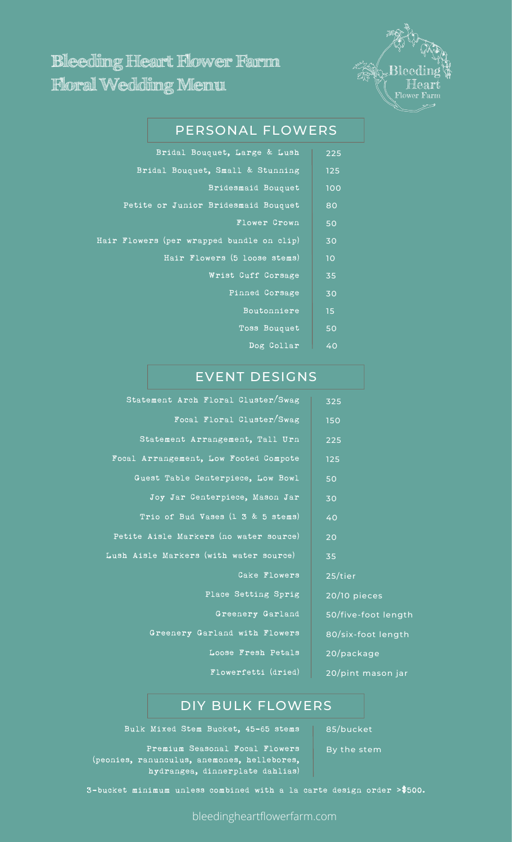

# **Bleeding Heart Flower Farm Floral Wedding Menu**

# PERSONAL FLOWERS

| 225 | Bridal Bouquet, Large & Lush              |  |
|-----|-------------------------------------------|--|
| 125 | Bridal Bouquet, Small & Stunning          |  |
| 100 | Bridesmaid Bouquet                        |  |
| 80  | Petite or Junior Bridesmaid Bouquet       |  |
| 50  | <b>Flower Crown</b>                       |  |
| 30  | Hair Flowers (per wrapped bundle on clip) |  |
| 10  | Hair Flowers (5 loose stems)              |  |
| 35  | Wrist Cuff Corsage                        |  |
| 30  | Pinned Corsage                            |  |
| 15  | Boutonniere                               |  |
| 50  | Toss Bouquet                              |  |
| 40  | Dog Collar                                |  |
|     |                                           |  |

# EVENT DESIGNS

| Statement Arch Floral Cluster/Swag     | 325                 |
|----------------------------------------|---------------------|
| Focal Floral Cluster/Swag              | 150                 |
| Statement Arrangement, Tall Urn        | 225                 |
| Focal Arrangement, Low Footed Compote  | 125                 |
| Guest Table Centerpiece, Low Bowl      | 50                  |
| Joy Jar Centerpiece, Mason Jar         | 30                  |
| Trio of Bud Vases (1 3 & 5 stems)      | 40                  |
| Petite Aisle Markers (no water source) | 20                  |
| Lush Aisle Markers (with water source) | 35                  |
| Cake Flowers                           | 25/tier             |
| Place Setting Sprig                    | 20/10 pieces        |
| Greenery Garland                       | 50/five-foot length |
| Greenery Garland with Flowers          | 80/six-foot length  |
| Loose Fresh Petals                     | 20/package          |
| Flowerfetti (dried)                    | 20/pint mason jar   |

### DIY BULK FLOWERS

Bulk Mixed Stem Bucket, 45-65 stems | 85/bucket

By the stem

Premium Seasonal Focal Flowers (peonies, ranunculus, anemones, hellebores, hydrangea, dinnerplate dahlias)

3-bucket minimum unless combined with a la carte design order **>**\$500.

bleedingheartflowerfarm.com